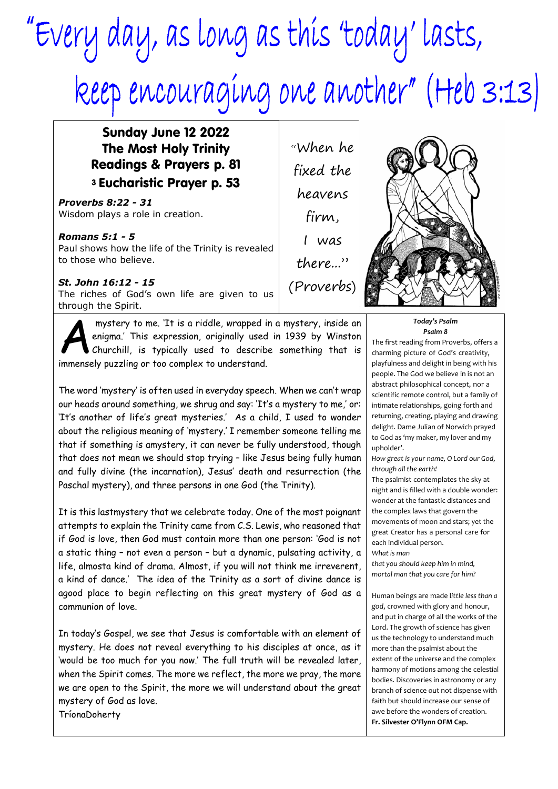## "Every day, as long as this 'today' lasts, Reep encouraging one another" (Heb 3:13)

## Sunday June 12 2022 The Most Holy Trinity Readings & Prayers p. 81 <sup>3</sup>Eucharistic Prayer p. 53

*Proverbs 8:22 - 31* Wisdom plays a role in creation.

*Romans 5:1 - 5* Paul shows how the life of the Trinity is revealed to those who believe.

*St. John 16:12 - 15* The riches of God's own life are given to us through the Spirit.

mystery to me. 'It is a riddle, wrapped i<br>enigma.' This expression, originally used<br>churchill, is typically used to describ<br>immensely puzzling or too complex to understand. mystery to me. 'It is a riddle, wrapped in a mystery, inside an enigma.' This expression, originally used in 1939 by Winston Churchill, is typically used to describe something that is

The word 'mystery' is often used in everyday speech. When we can't wrap our heads around something, we shrug and say: 'It's a mystery to me,' or: 'It's another of life's great mysteries.' As a child, I used to wonder about the religious meaning of 'mystery.' I remember someone telling me that if something is amystery, it can never be fully understood, though that does not mean we should stop trying – like Jesus being fully human and fully divine (the incarnation), Jesus' death and resurrection (the Paschal mystery), and three persons in one God (the Trinity).

It is this lastmystery that we celebrate today. One of the most poignant attempts to explain the Trinity came from C.S. Lewis, who reasoned that if God is love, then God must contain more than one person: 'God is not a static thing – not even a person – but a dynamic, pulsating activity, a life, almosta kind of drama. Almost, if you will not think me irreverent, a kind of dance.' The idea of the Trinity as a sort of divine dance is agood place to begin reflecting on this great mystery of God as a communion of love.

In today's Gospel, we see that Jesus is comfortable with an element of mystery. He does not reveal everything to his disciples at once, as it 'would be too much for you now.' The full truth will be revealed later, when the Spirit comes. The more we reflect, the more we pray, the more we are open to the Spirit, the more we will understand about the great mystery of God as love.

TríonaDoherty

"When he fixed the heavens firm, I was there..." (Proverbs)



The first reading from Proverbs, offers a charming picture of God's creativity, playfulness and delight in being with his people. The God we believe in is not an abstract philosophical concept, nor a scientific remote control, but a family of intimate relationships, going forth and returning, creating, playing and drawing delight. Dame Julian of Norwich prayed to God as 'my maker, my lover and my upholder'.

*How great is your name, O Lord our God, through all the earth!*

The psalmist contemplates the sky at night and is filled with a double wonder: wonder at the fantastic distances and the complex laws that govern the movements of moon and stars; yet the great Creator has a personal care for each individual person. *What is man*

*that you should keep him in mind, mortal man that you care for him?*

Human beings are made l*ittle less than a god*, crowned with glory and honour, and put in charge of all the works of the Lord. The growth of science has given us the technology to understand much more than the psalmist about the extent of the universe and the complex harmony of motions among the celestial bodies. Discoveries in astronomy or any branch of science out not dispense with faith but should increase our sense of awe before the wonders of creation. **Fr. Silvester O'Flynn OFM Cap.**